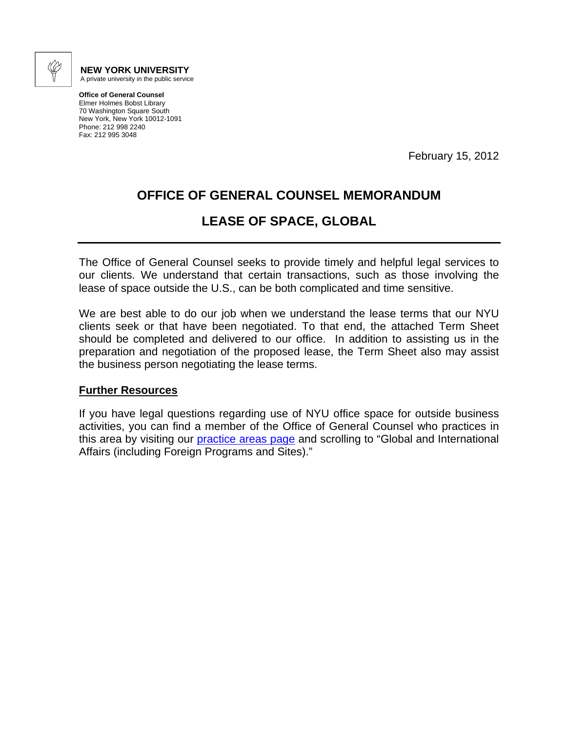

**NEW YORK UNIVERSITY**  A private university in the public service

**Office of General Counsel**  Elmer Holmes Bobst Library 70 Washington Square South New York, New York 10012-1091 Phone: 212 998 2240 Fax: 212 995 3048

February 15, 2012

## **OFFICE OF GENERAL COUNSEL MEMORANDUM**

## **LEASE OF SPACE, GLOBAL**

The Office of General Counsel seeks to provide timely and helpful legal services to our clients. We understand that certain transactions, such as those involving the lease of space outside the U.S., can be both complicated and time sensitive.

We are best able to do our job when we understand the lease terms that our NYU clients seek or that have been negotiated. To that end, the attached Term Sheet should be completed and delivered to our office. In addition to assisting us in the preparation and negotiation of the proposed lease, the Term Sheet also may assist the business person negotiating the lease terms.

## **Further Resources**

If you have legal questions regarding use of NYU office space for outside business activities, you can find a member of the Office of General Counsel who practices in this area by visiting our **[practice areas page](http://www.nyu.edu/about/leadership-university-administration/office-of-the-president/general-counsel/redirect/find-counsel/nyu-ogc-practice-areas-and-relevant-professionals.html)** and scrolling to "Global and International Affairs (including Foreign Programs and Sites)."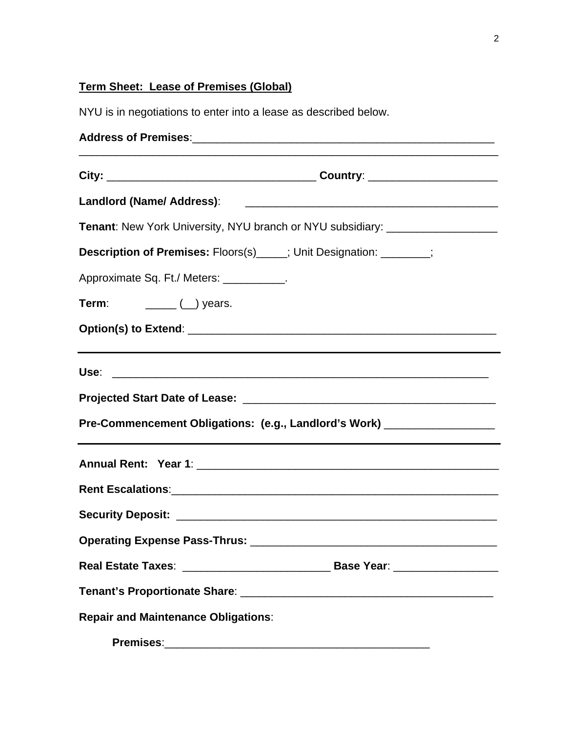## **Term Sheet: Lease of Premises (Global)**

NYU is in negotiations to enter into a lease as described below.

| Tenant: New York University, NYU branch or NYU subsidiary: _____________________ |  |
|----------------------------------------------------------------------------------|--|
| Description of Premises: Floors(s)_____; Unit Designation: _______;              |  |
| Approximate Sq. Ft./ Meters: ___________.                                        |  |
|                                                                                  |  |
|                                                                                  |  |
| Pre-Commencement Obligations: (e.g., Landlord's Work) ____________________       |  |
|                                                                                  |  |
|                                                                                  |  |
|                                                                                  |  |
| <b>Operating Expense Pass-Thrus:</b>                                             |  |
|                                                                                  |  |
|                                                                                  |  |
| <b>Repair and Maintenance Obligations:</b>                                       |  |
| <b>Premises:</b>                                                                 |  |